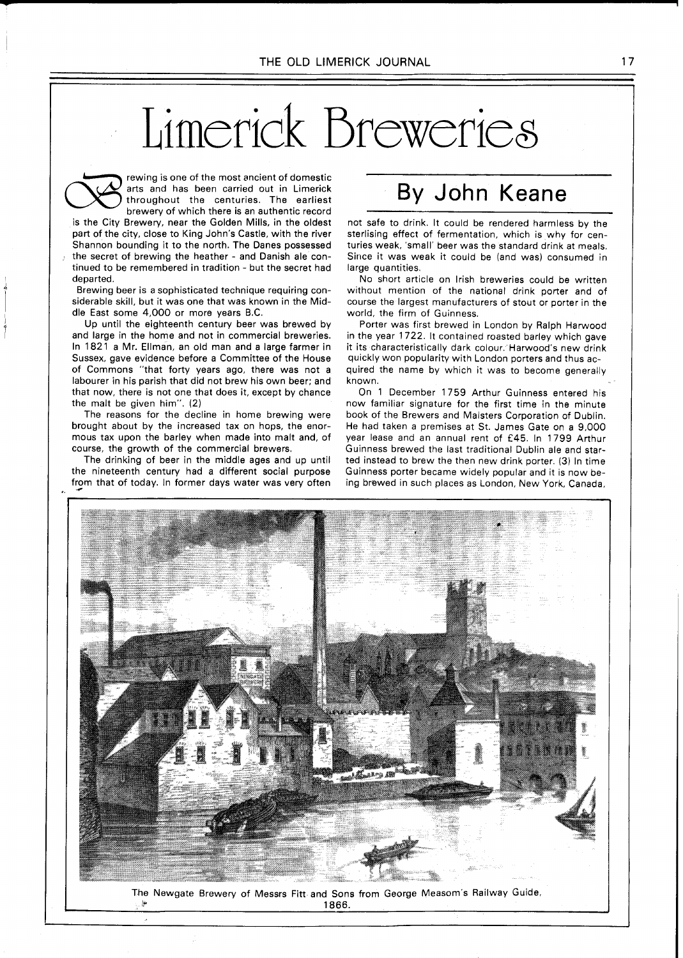# Limerick Breweries



rewing is one of the most ancient of domestic arts and has been carried out in Limerick throughout the centuries. The earliest brewery of which there is an authentic record

is the City Brewery, near the Golden Mills, in the oldest part of the city, close to King John's Castle, with the river Shannon bounding it to the north. The Danes possessed the secret of brewing the heather - and Danish ale continued to be remembered in tradition - but the secret had departed.

Brewing beer is a sophisticated technique requiring considerable skill, but it was one that was known in the Middle East some 4,000 or more years B.C.

Up until the eighteenth century beer was brewed by and large in the home and not in commercial breweries. In 1821 a Mr. Ellman, an old man and a large farmer in Sussex, gave evidence before a Committee of the House of Commons "that forty years ago, there was not a labourer in his parish that did not brew his own beer; and that now, there is not one that does it, except by chance the malt be given him". (2)

The reasons for the decline in home brewing were brought about by the increased tax on hops, the enormous tax upon the barley when made into malt and, of course, the growth of the commercial brewers.

The drinking of beer in the middle ages and up until the nineteenth century had a different social purpose from that of today. In former days water was very often

## By John Keane

not safe to drink. It could be rendered harmless by the sterlising effect of fermentation, which is why for centuries weak, 'small' beer was the standard drink at meals. Since it was weak it could be (and was) consumed in large quantities.

No short article on Irish breweries could be written without mention of the national drink porter and of course the largest manufacturers of stout or porter in the world, the firm of Guinness.

Porter was first brewed in London by Ralph Harwood in the year 1722. It contained roasted barley which gave it its characteristically dark colour. Harwood's new drink quickly won popularity with London porters and thus acquired the name by which it was to become generally known.

On 1 December 1759 Arthur Guinness entered his now familiar signature for the first time in the minute book of the Brewers and Malsters Corporation of Dublin. He had taken a premises at St. James Gate on a 9,000 year lease and an annual rent of E45. In 1799 Arthur Guinness brewed the last traditional Dublin ale and started instead to brew the then new drink porter. (3) In time Guinness porter became widely popular and it is now being brewed in such places as London, New York, Canada,



The Newgate Brewery of Messrs Fitt and Sons from George Measom's Railway Guide, k **1866.**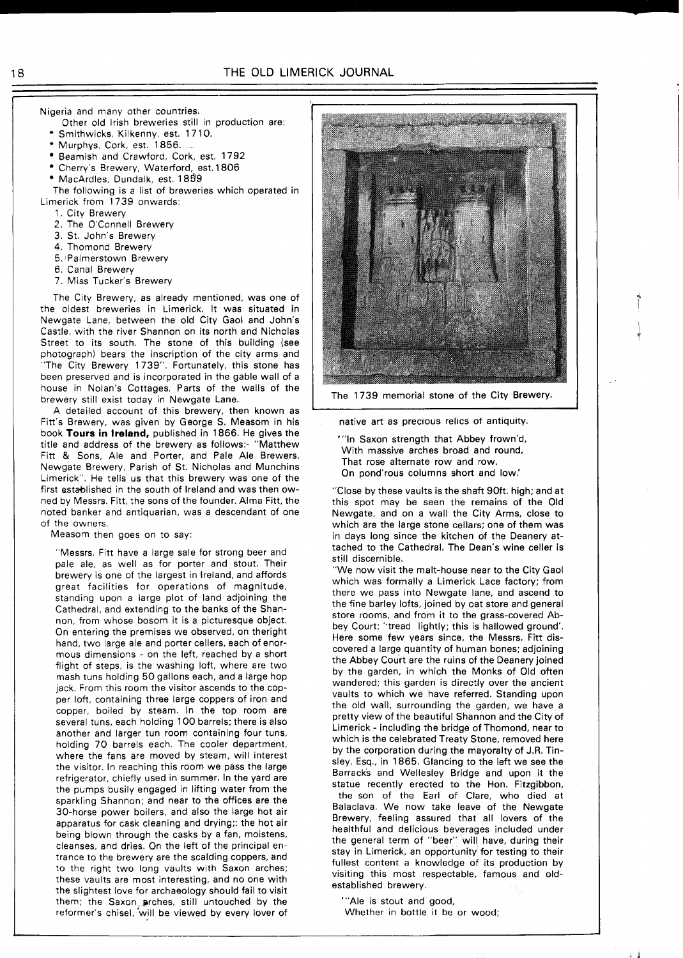Nigeria and many other countries.

- Other old Irish breweries still in production are:
- Smithwicks, Kilkenny, est. 1710. Murphys, Cork, est. 1856.
- Beamish and Crawford, Cork, est. 1792
- Cherry's Brewery, Waterford, est. 1806
- MacArdles, Dundalk, est. 1859
- 
- The following is a list of breweries which operated in Limerick from 1739 onwards:
	- 1. City Brewery
	- 2. The O'Connell Brewery
	- 3. St. John's Brewery
	- 4. Thomond Brewery
	- 5. Palmerstown Brewery
	- 6. Canal Brewery
	- 7. Miss Tucker's Brewery

The City Brewery, as already mentioned, was one of the oldest breweries in Limerick. It was situated in Newgate Lane, between the old City Gaol and John's Castle, with the river Shannon on its north and Nicholas Street to its south. The stone of this building (see photograph) bears the inscription of the city arms and "The City Brewery 1739". Fortunately, this stone has been preserved and is incorporated in the gable wall of a house in Nolan's Cottages. Parts of the walls of the brewery still exist today in Newgate Lane.

A detailed account of this brewery, then known as Fitt's Brewery, was given by George S. Measom in his book **Tours in Ireland,** published in 1866. He gives the title and address of the brewery as follows:- "Matthew Fitt & Sons, Ale and Porter, and Pale Ale Brewers. Newgate Brewery, Parish of St. Nicholas and Munchins Limerick". He tells us that this brewery was one of the first established in the south of Ireland and was then owned by Messrs. Fitt, the sons of the founder. Alma Fitt, the noted banker and antiquarian, was a descendant of one of the owners.

Measom then goes on to say:

"Messrs. Fitt have a large sale for strong beer and pale ale, as well as for porter and stout. Their brewery is one of the largest in Ireland, and affords great facilities for operations of magnitude, standing upon a large plot of land adjoining the Cathedral, and extending to the banks of the Shannon, from whose bosom it is a picturesque object. On entering the premises we observed, on theright hand, two large ale and porter cellers, each of enormous dimensions - on the left, reached by a short flight of steps, is the washing loft, where are two mash tuns holding 50 gallons each, and a large hop jack. From this room the visitor ascends to the copper loft, containing three large coppers of iron and copper, boiled by steam. In the top room are several tuns, each holding 100 barrels; there is also another and larger tun room containing four tuns, holding 70 barrels each. The cooler department, where the fans are moved by steam, will interest the visitor. In reaching this room we pass the large refrigerator, chiefly used in summer. In the yard are the pumps busily engaged in lifting water from the sparkling Shannon; and near to the offices are the 30-horse power boilers, and also the large hot air apparatus for cask cleaning and drying;: the hot air being blown through the casks by a fan, moistens, cleanses, and dries. On the left of the principal entrance to the brewery are the scalding coppers, and to the right two long vaults with Saxon arches; these vaults are most interesting, and no one with the slightest love for archaeology should fail to visit them; the Saxong prches, still untouched by the reformer's chisel, 'will be viewed by every lover of



The 1739 memorial stone of the City Brewery.

native art as preclous relics ot antiquity.

"'In Saxon strength that Abbey frown'd, With massive arches broad and round, That rose alternate row and row, On pond'rous columns short and low.'

"Close by these vaults is the shaft 90ft. high; and at this spot may be seen the remains of the Old Newgate, and on a wall the City Arms, close to which are the large stone cellars; one of them was in days long since the kitchen of the Deanery attached to the Cathedral. The Dean's wine celler is still discernible.

"We now visit the malt-house near to the City Gaol which was formally a Limerick Lace factory; from there we pass into Newgate lane, and ascend to the fine barley lofts, joined by oat store and general store rooms, and from it to the grass-covered Abbey Court; "tread lightly; this is hallowed ground'. Here some few years since, the Messrs. Fitt discovered a large quantity of human bones; adjoining the Abbey Court are the ruins of the Deanery joined by the garden, in which the Monks of Old often wandered; this garden is directly over the ancient vaults to which we have referred. Standing upon the old wall, surrounding the garden, we have a pretty view of the beautiful Shannon and the City of Limerick - including the bridge of Thomond, near to which is the celebrated Treaty Stone, removed here by the corporation during the mayoralty of J.R. Tinsley, Esq., in 1865. Glancing to the left we see the Barracks and Wellesley Bridge and upon it the statue recently erected to the Hon. Fitzgibbon, the son of the Earl of Clare, who died at Balaclava. We now take leave of the Newgate Brewery, feeling assured that all lovers of the healthful and delicious beverages included under the general term of "beer" will have, during their stay in Limerick, an opportunity for testing to their fullest content a knowledge of its production by visiting this most respectable, famous and old-

'"Ale is stout and good,

established brewery.

Whether in bottle it be or wood;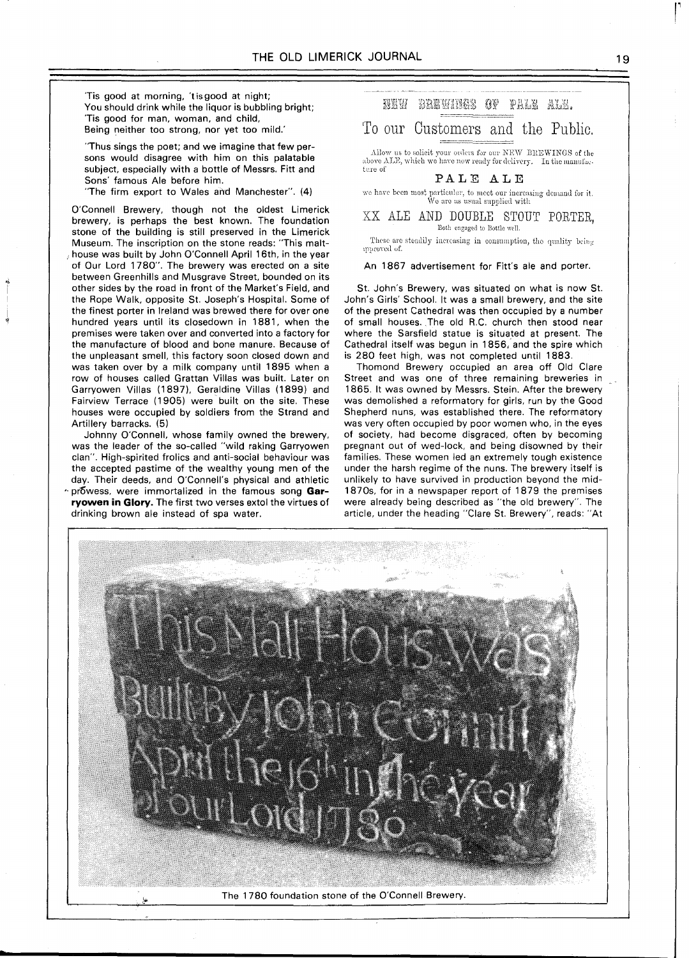'Tis good at morning, 'tisgood at night; You should drink while the liquor is bubbling bright; 'Tis good for man, woman, and child, Being neither too strong, nor yet too mild.'

"Thus sings the poet; and we imagine that few persons would disagree with him on this palatable subject, especially with a bottle of Messrs. Fitt and Sons' famous Ale before him.

"The firm export to Wales aird Manchester". (4)

O'Connell Brewery, though not the oldest Limerick brewery, is perhaps the best known. The foundation stone of the building is still preserved in the Limerick Museum. The inscription on the stone reads: "This malthouse was built by John O'Connell April 16th, in the year of Our Lord 1780". The brewery was erected on a site between Greenhills and Musgrave Street, bounded on its other sides by the road in front of the Market's Field, and the Rope Walk, opposite St. Joseph's Hospital. Some of the finest porter in Ireland was brewed there for over one hundred years until its closedown in 1881, when the premises were taken over and converted into a factory for the manufacture of blood and bone manure. Because of the unpleasant smell, this factory soon closed down and was taken over by a milk company until 1895 when a row of houses called Grattan Villas was built. Later on Garryowen Villas (1897), Geraldine Villas (1899) and Fairview Terrace (1905) were built on the site. These houses were occupied by soldiers from the Strand and Artillery barracks. (5)

Johnny O'Connell, whose family owned the brewery, was the leader of the so-called "wild raking Garryowen clan". High-spirited frolics and anti-social behaviour was the accepted pastime of the wealthy young men of the day. Their deeds, and O'Connell's physical and athletic \* prowess, were immortalized in the famous song Gar**ryowen in Glory.** The first two verses extol the virtues of drinking brown ale instead of spa water.

NEW BREWINGS OF PALE ALE.

### To our Customers and the Public.

Allow us to solicit your orders for our NEW BREWINGS of the above ALE, which we have now ready for delivery. In the manufacture of

#### PALE ALE

we have been most particular, to meet our increasing demand for it. We are as usual supplied with

 $\overline{\text{XX}}$  ALE AND DOUBLE STOUT PORTER,

These are steadily increasing in consumption, the quality being upproved of.

#### An 1867 advertisement for Fitt's ale and porter.

St. John's Brewery, was situated on what is now St. John's Girls' School. It was a small brewery, and the site of the present Cathedral was then occupied by a number of small houses. The old R.C. church then stood near where the Sarsfield statue is situated at present. The Cathedral itself was begun in 1856, and the spire which is 280 feet high, was not completed until 1883.

Thomond Brewery occupied an area off Old Clare Street and was one of three remaining breweries in 1865. It was owned by Messrs. Stein. After the brewery was demolished a reformatory for girls, run by the Good Shepherd nuns, was established there. The reformatory was very often occupied by poor women who, in the eyes of society, had become disgraced, often by becoming pregnant out of wed-lock, and being disowned by their families. These women led an extremely tough existence under the harsh regime of the nuns. The brewery itself is unlikely to have survived in production beyond the mid-1870s, for in a newspaper report of 1879 the premises were already being described as "the old brewery". The article, under the heading "Clare St. Brewery", reads: "At



The 1780 foundation stone of the O'Connell Brewery.